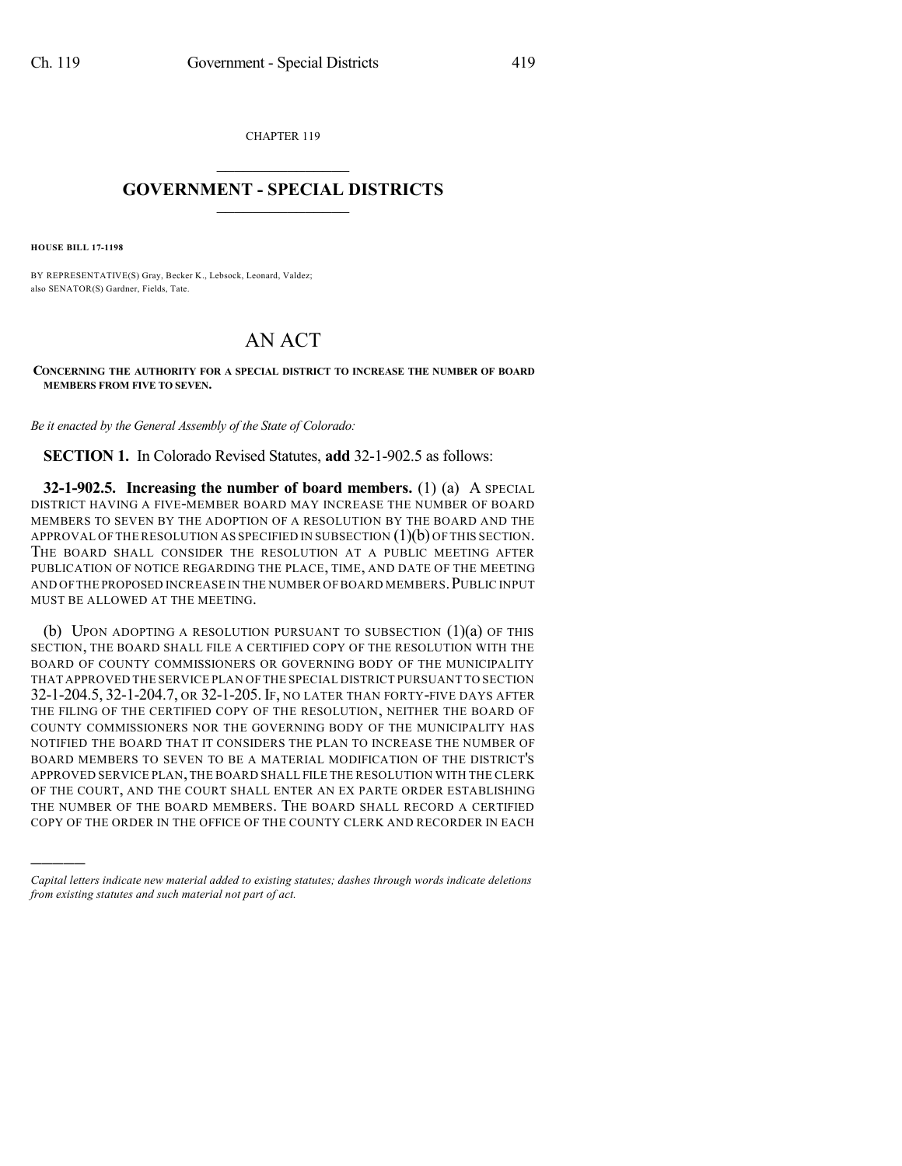CHAPTER 119  $\overline{\phantom{a}}$  . The set of the set of the set of the set of the set of the set of the set of the set of the set of the set of the set of the set of the set of the set of the set of the set of the set of the set of the set o

## **GOVERNMENT - SPECIAL DISTRICTS**  $\_$   $\_$

**HOUSE BILL 17-1198**

)))))

BY REPRESENTATIVE(S) Gray, Becker K., Lebsock, Leonard, Valdez; also SENATOR(S) Gardner, Fields, Tate.

## AN ACT

**CONCERNING THE AUTHORITY FOR A SPECIAL DISTRICT TO INCREASE THE NUMBER OF BOARD MEMBERS FROM FIVE TO SEVEN.**

*Be it enacted by the General Assembly of the State of Colorado:*

**SECTION 1.** In Colorado Revised Statutes, **add** 32-1-902.5 as follows:

**32-1-902.5. Increasing the number of board members.** (1) (a) A SPECIAL DISTRICT HAVING A FIVE-MEMBER BOARD MAY INCREASE THE NUMBER OF BOARD MEMBERS TO SEVEN BY THE ADOPTION OF A RESOLUTION BY THE BOARD AND THE APPROVAL OF THE RESOLUTION AS SPECIFIED IN SUBSECTION  $(1)(b)$  OF THIS SECTION. THE BOARD SHALL CONSIDER THE RESOLUTION AT A PUBLIC MEETING AFTER PUBLICATION OF NOTICE REGARDING THE PLACE, TIME, AND DATE OF THE MEETING AND OFTHE PROPOSED INCREASE IN THE NUMBER OF BOARD MEMBERS.PUBLIC INPUT MUST BE ALLOWED AT THE MEETING.

(b) UPON ADOPTING A RESOLUTION PURSUANT TO SUBSECTION  $(1)(a)$  OF THIS SECTION, THE BOARD SHALL FILE A CERTIFIED COPY OF THE RESOLUTION WITH THE BOARD OF COUNTY COMMISSIONERS OR GOVERNING BODY OF THE MUNICIPALITY THAT APPROVED THE SERVICE PLAN OF THE SPECIAL DISTRICT PURSUANT TO SECTION 32-1-204.5, 32-1-204.7, OR 32-1-205. IF, NO LATER THAN FORTY-FIVE DAYS AFTER THE FILING OF THE CERTIFIED COPY OF THE RESOLUTION, NEITHER THE BOARD OF COUNTY COMMISSIONERS NOR THE GOVERNING BODY OF THE MUNICIPALITY HAS NOTIFIED THE BOARD THAT IT CONSIDERS THE PLAN TO INCREASE THE NUMBER OF BOARD MEMBERS TO SEVEN TO BE A MATERIAL MODIFICATION OF THE DISTRICT'S APPROVED SERVICE PLAN,THE BOARD SHALL FILE THE RESOLUTION WITH THE CLERK OF THE COURT, AND THE COURT SHALL ENTER AN EX PARTE ORDER ESTABLISHING THE NUMBER OF THE BOARD MEMBERS. THE BOARD SHALL RECORD A CERTIFIED COPY OF THE ORDER IN THE OFFICE OF THE COUNTY CLERK AND RECORDER IN EACH

*Capital letters indicate new material added to existing statutes; dashes through words indicate deletions from existing statutes and such material not part of act.*